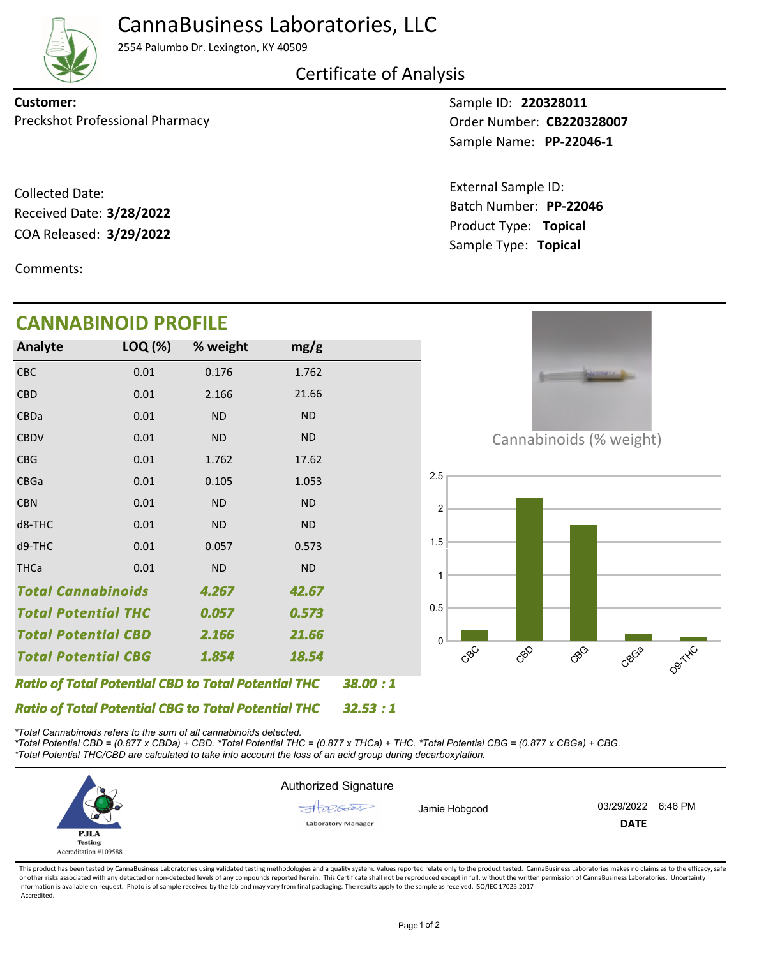

### CannaBusiness Laboratories, LLC

2554 Palumbo Dr. Lexington, KY 40509

Certificate of Analysis

Preckshot Professional Pharmacy **CB220328007 Order Number: CB220328007 Customer:**

COA Released: Collected Date: Received Date: **3/28/2022**

Comments:

### **CANNABINOID PROFILE**

Sample ID: **220328011 PP-22046-1** Sample Name:

Product Type: **Topical 3/29/2022** Batch Number: **PP-22046** External Sample ID: Sample Type: **Topical**



*\*Total Cannabinoids refers to the sum of all cannabinoids detected.*

*\*Total Potential CBD = (0.877 x CBDa) + CBD. \*Total Potential THC = (0.877 x THCa) + THC. \*Total Potential CBG = (0.877 x CBGa) + CBG. \*Total Potential THC/CBD are calculated to take into account the loss of an acid group during decarboxylation.*



This product has been tested by CannaBusiness Laboratories using validated testing methodologies and a quality system. Values reported relate only to the product tested. CannaBusiness Laboratories makes no claims as to the or other risks associated with any detected or non-detected levels of any compounds reported herein. This Certificate shall not be reproduced except in full, without the written permission of CannaBusiness Laboratories. Un information is available on request. Photo is of sample received by the lab and may vary from final packaging. The results apply to the sample as received. ISO/IEC 17025:2017 Accredited.